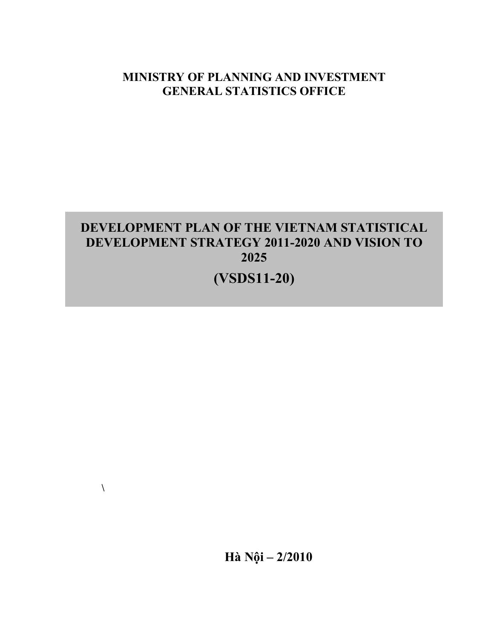# **MINISTRY OF PLANNING AND INVESTMENT GENERAL STATISTICS OFFICE**

# **DEVELOPMENT PLAN OF THE VIETNAM STATISTICAL DEVELOPMENT STRATEGY 2011-2020 AND VISION TO 2025**

**(VSDS11-20)** 

**Hà Nội – 2/2010** 

**\**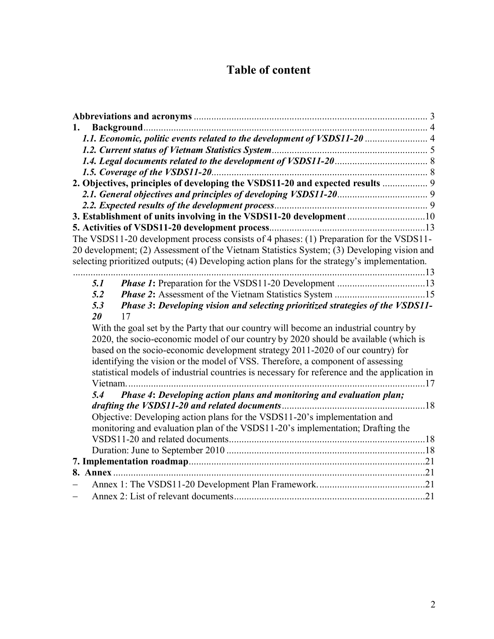# **Table of content**

| 1.                                                                                                                                                                                    |  |
|---------------------------------------------------------------------------------------------------------------------------------------------------------------------------------------|--|
| 1.1. Economic, politic events related to the development of VSDS11-20  4                                                                                                              |  |
|                                                                                                                                                                                       |  |
|                                                                                                                                                                                       |  |
| 1.5. Coverage of the VSDS11-20                                                                                                                                                        |  |
| 2. Objectives, principles of developing the VSDS11-20 and expected results  9                                                                                                         |  |
|                                                                                                                                                                                       |  |
|                                                                                                                                                                                       |  |
| 3. Establishment of units involving in the VSDS11-20 development 10                                                                                                                   |  |
|                                                                                                                                                                                       |  |
| The VSDS11-20 development process consists of 4 phases: (1) Preparation for the VSDS11-<br>20 development; (2) Assessment of the Vietnam Statistics System; (3) Developing vision and |  |
| selecting prioritized outputs; (4) Developing action plans for the strategy's implementation.                                                                                         |  |
|                                                                                                                                                                                       |  |
| 5.1                                                                                                                                                                                   |  |
| 5.2                                                                                                                                                                                   |  |
| Phase 3: Developing vision and selecting prioritized strategies of the VSDS11-<br>5.3                                                                                                 |  |
| 20<br>17                                                                                                                                                                              |  |
| With the goal set by the Party that our country will become an industrial country by                                                                                                  |  |
| 2020, the socio-economic model of our country by 2020 should be available (which is                                                                                                   |  |
| based on the socio-economic development strategy 2011-2020 of our country) for                                                                                                        |  |
| identifying the vision or the model of VSS. Therefore, a component of assessing                                                                                                       |  |
| statistical models of industrial countries is necessary for reference and the application in<br>17<br>Vietnam.                                                                        |  |
| Phase 4: Developing action plans and monitoring and evaluation plan;<br>5.4                                                                                                           |  |
|                                                                                                                                                                                       |  |
| Objective: Developing action plans for the VSDS11-20's implementation and                                                                                                             |  |
| monitoring and evaluation plan of the VSDS11-20's implementation; Drafting the                                                                                                        |  |
|                                                                                                                                                                                       |  |
|                                                                                                                                                                                       |  |
|                                                                                                                                                                                       |  |
|                                                                                                                                                                                       |  |
|                                                                                                                                                                                       |  |
|                                                                                                                                                                                       |  |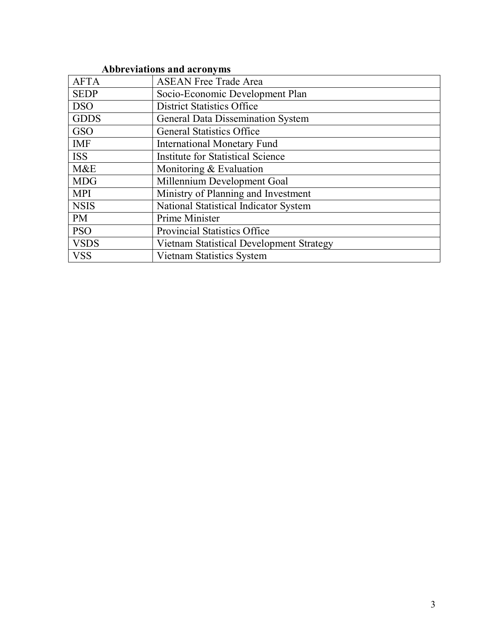## **Abbreviations and acronyms**

| <b>AFTA</b> | <b>ASEAN Free Trade Area</b>             |
|-------------|------------------------------------------|
| <b>SEDP</b> | Socio-Economic Development Plan          |
| <b>DSO</b>  | <b>District Statistics Office</b>        |
| <b>GDDS</b> | <b>General Data Dissemination System</b> |
| <b>GSO</b>  | <b>General Statistics Office</b>         |
| <b>IMF</b>  | <b>International Monetary Fund</b>       |
| <b>ISS</b>  | <b>Institute for Statistical Science</b> |
| M&E         | Monitoring $&$ Evaluation                |
| <b>MDG</b>  | Millennium Development Goal              |
| <b>MPI</b>  | Ministry of Planning and Investment      |
| <b>NSIS</b> | National Statistical Indicator System    |
| <b>PM</b>   | Prime Minister                           |
| <b>PSO</b>  | <b>Provincial Statistics Office</b>      |
| <b>VSDS</b> | Vietnam Statistical Development Strategy |
| <b>VSS</b>  | Vietnam Statistics System                |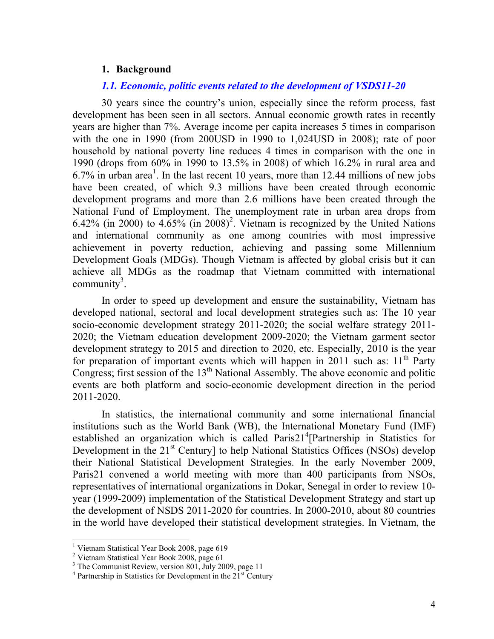#### **1. Background**

#### *1.1. Economic, politic events related to the development of VSDS11-20*

30 years since the country's union, especially since the reform process, fast development has been seen in all sectors. Annual economic growth rates in recently years are higher than 7%. Average income per capita increases 5 times in comparison with the one in 1990 (from 200USD in 1990 to 1,024USD in 2008); rate of poor household by national poverty line reduces 4 times in comparison with the one in 1990 (drops from 60% in 1990 to 13.5% in 2008) of which 16.2% in rural area and  $6.7\%$  in urban area<sup>1</sup>. In the last recent 10 years, more than 12.44 millions of new jobs have been created, of which 9.3 millions have been created through economic development programs and more than 2.6 millions have been created through the National Fund of Employment. The unemployment rate in urban area drops from 6.42% (in 2000) to  $4.65\%$  (in 2008)<sup>2</sup>. Vietnam is recognized by the United Nations and international community as one among countries with most impressive achievement in poverty reduction, achieving and passing some Millennium Development Goals (MDGs). Though Vietnam is affected by global crisis but it can achieve all MDGs as the roadmap that Vietnam committed with international community<sup>3</sup>.

In order to speed up development and ensure the sustainability, Vietnam has developed national, sectoral and local development strategies such as: The 10 year socio-economic development strategy 2011-2020; the social welfare strategy 2011- 2020; the Vietnam education development 2009-2020; the Vietnam garment sector development strategy to 2015 and direction to 2020, etc. Especially, 2010 is the year for preparation of important events which will happen in 2011 such as:  $11<sup>th</sup>$  Party Congress; first session of the  $13<sup>th</sup>$  National Assembly. The above economic and politic events are both platform and socio-economic development direction in the period 2011-2020.

In statistics, the international community and some international financial institutions such as the World Bank (WB), the International Monetary Fund (IMF) established an organization which is called Paris21<sup>4</sup>[Partnership in Statistics for Development in the 21<sup>st</sup> Century] to help National Statistics Offices (NSOs) develop their National Statistical Development Strategies. In the early November 2009, Paris21 convened a world meeting with more than 400 participants from NSOs, representatives of international organizations in Dokar, Senegal in order to review 10 year (1999-2009) implementation of the Statistical Development Strategy and start up the development of NSDS 2011-2020 for countries. In 2000-2010, about 80 countries in the world have developed their statistical development strategies. In Vietnam, the

 1 Vietnam Statistical Year Book 2008, page 619

<sup>&</sup>lt;sup>2</sup> Vietnam Statistical Year Book 2008, page 61

<sup>&</sup>lt;sup>3</sup> The Communist Review, version 801, July 2009, page 11

 $4$  Partnership in Statistics for Development in the  $21<sup>st</sup>$  Century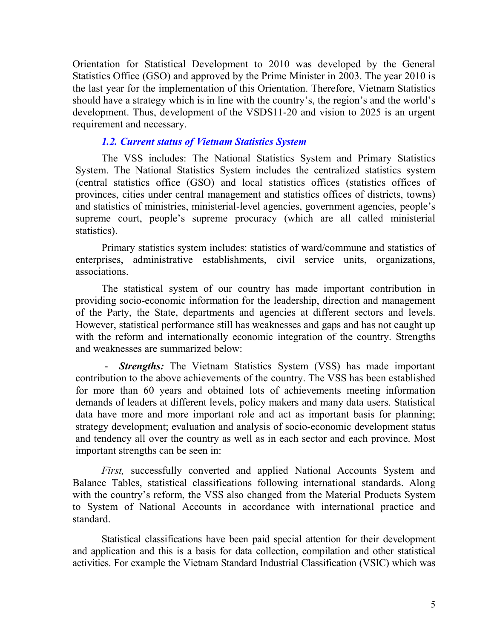Orientation for Statistical Development to 2010 was developed by the General Statistics Office (GSO) and approved by the Prime Minister in 2003. The year 2010 is the last year for the implementation of this Orientation. Therefore, Vietnam Statistics should have a strategy which is in line with the country's, the region's and the world's development. Thus, development of the VSDS11-20 and vision to 2025 is an urgent requirement and necessary.

#### *1.2. Current status of Vietnam Statistics System*

 The VSS includes: The National Statistics System and Primary Statistics System. The National Statistics System includes the centralized statistics system (central statistics office (GSO) and local statistics offices (statistics offices of provinces, cities under central management and statistics offices of districts, towns) and statistics of ministries, ministerial-level agencies, government agencies, people's supreme court, people's supreme procuracy (which are all called ministerial statistics).

 Primary statistics system includes: statistics of ward/commune and statistics of enterprises, administrative establishments, civil service units, organizations, associations.

 The statistical system of our country has made important contribution in providing socio-economic information for the leadership, direction and management of the Party, the State, departments and agencies at different sectors and levels. However, statistical performance still has weaknesses and gaps and has not caught up with the reform and internationally economic integration of the country. Strengths and weaknesses are summarized below:

- *Strengths:* The Vietnam Statistics System (VSS) has made important contribution to the above achievements of the country. The VSS has been established for more than 60 years and obtained lots of achievements meeting information demands of leaders at different levels, policy makers and many data users. Statistical data have more and more important role and act as important basis for planning; strategy development; evaluation and analysis of socio-economic development status and tendency all over the country as well as in each sector and each province. Most important strengths can be seen in:

*First,* successfully converted and applied National Accounts System and Balance Tables, statistical classifications following international standards. Along with the country's reform, the VSS also changed from the Material Products System to System of National Accounts in accordance with international practice and standard.

Statistical classifications have been paid special attention for their development and application and this is a basis for data collection, compilation and other statistical activities. For example the Vietnam Standard Industrial Classification (VSIC) which was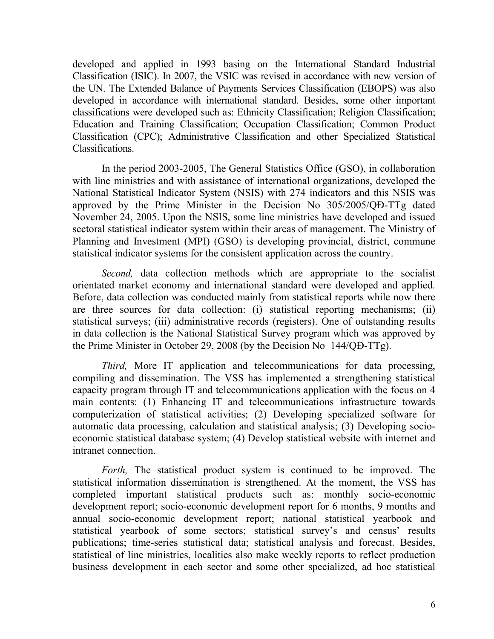developed and applied in 1993 basing on the International Standard Industrial Classification (ISIC). In 2007, the VSIC was revised in accordance with new version of the UN. The Extended Balance of Payments Services Classification (EBOPS) was also developed in accordance with international standard. Besides, some other important classifications were developed such as: Ethnicity Classification; Religion Classification; Education and Training Classification; Occupation Classification; Common Product Classification (CPC); Administrative Classification and other Specialized Statistical Classifications.

In the period 2003-2005, The General Statistics Office (GSO), in collaboration with line ministries and with assistance of international organizations, developed the National Statistical Indicator System (NSIS) with 274 indicators and this NSIS was approved by the Prime Minister in the Decision No 305/2005/QĐ-TTg dated November 24, 2005. Upon the NSIS, some line ministries have developed and issued sectoral statistical indicator system within their areas of management. The Ministry of Planning and Investment (MPI) (GSO) is developing provincial, district, commune statistical indicator systems for the consistent application across the country.

*Second,* data collection methods which are appropriate to the socialist orientated market economy and international standard were developed and applied. Before, data collection was conducted mainly from statistical reports while now there are three sources for data collection: (i) statistical reporting mechanisms; (ii) statistical surveys; (iii) administrative records (registers). One of outstanding results in data collection is the National Statistical Survey program which was approved by the Prime Minister in October 29, 2008 (by the Decision No 144/QĐ-TTg).

*Third,* More IT application and telecommunications for data processing, compiling and dissemination. The VSS has implemented a strengthening statistical capacity program through IT and telecommunications application with the focus on 4 main contents: (1) Enhancing IT and telecommunications infrastructure towards computerization of statistical activities; (2) Developing specialized software for automatic data processing, calculation and statistical analysis; (3) Developing socioeconomic statistical database system; (4) Develop statistical website with internet and intranet connection.

*Forth*, The statistical product system is continued to be improved. The statistical information dissemination is strengthened. At the moment, the VSS has completed important statistical products such as: monthly socio-economic development report; socio-economic development report for 6 months, 9 months and annual socio-economic development report; national statistical yearbook and statistical yearbook of some sectors; statistical survey's and census' results publications; time-series statistical data; statistical analysis and forecast. Besides, statistical of line ministries, localities also make weekly reports to reflect production business development in each sector and some other specialized, ad hoc statistical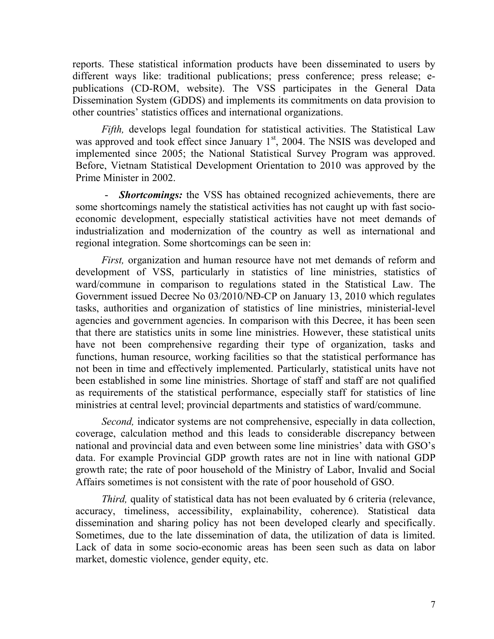reports. These statistical information products have been disseminated to users by different ways like: traditional publications; press conference; press release; epublications (CD-ROM, website). The VSS participates in the General Data Dissemination System (GDDS) and implements its commitments on data provision to other countries' statistics offices and international organizations.

*Fifth,* develops legal foundation for statistical activities. The Statistical Law was approved and took effect since January  $1<sup>st</sup>$ , 2004. The NSIS was developed and implemented since 2005; the National Statistical Survey Program was approved. Before, Vietnam Statistical Development Orientation to 2010 was approved by the Prime Minister in 2002.

- *Shortcomings:* the VSS has obtained recognized achievements, there are some shortcomings namely the statistical activities has not caught up with fast socioeconomic development, especially statistical activities have not meet demands of industrialization and modernization of the country as well as international and regional integration. Some shortcomings can be seen in:

*First,* organization and human resource have not met demands of reform and development of VSS, particularly in statistics of line ministries, statistics of ward/commune in comparison to regulations stated in the Statistical Law. The Government issued Decree No 03/2010/NĐ-CP on January 13, 2010 which regulates tasks, authorities and organization of statistics of line ministries, ministerial-level agencies and government agencies. In comparison with this Decree, it has been seen that there are statistics units in some line ministries. However, these statistical units have not been comprehensive regarding their type of organization, tasks and functions, human resource, working facilities so that the statistical performance has not been in time and effectively implemented. Particularly, statistical units have not been established in some line ministries. Shortage of staff and staff are not qualified as requirements of the statistical performance, especially staff for statistics of line ministries at central level; provincial departments and statistics of ward/commune.

*Second,* indicator systems are not comprehensive, especially in data collection, coverage, calculation method and this leads to considerable discrepancy between national and provincial data and even between some line ministries' data with GSO's data. For example Provincial GDP growth rates are not in line with national GDP growth rate; the rate of poor household of the Ministry of Labor, Invalid and Social Affairs sometimes is not consistent with the rate of poor household of GSO.

*Third*, quality of statistical data has not been evaluated by 6 criteria (relevance, accuracy, timeliness, accessibility, explainability, coherence). Statistical data dissemination and sharing policy has not been developed clearly and specifically. Sometimes, due to the late dissemination of data, the utilization of data is limited. Lack of data in some socio-economic areas has been seen such as data on labor market, domestic violence, gender equity, etc.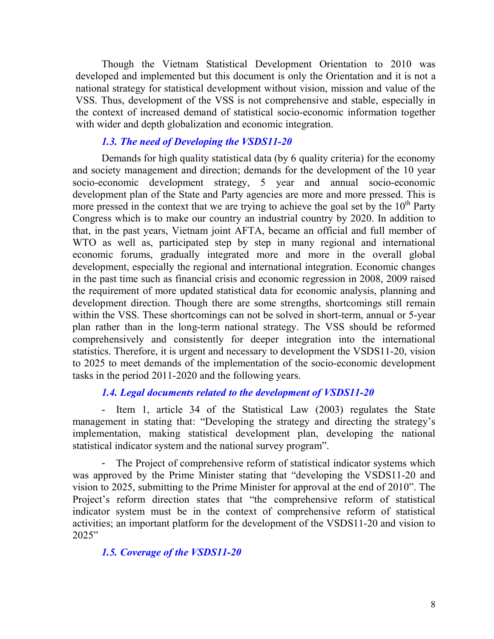Though the Vietnam Statistical Development Orientation to 2010 was developed and implemented but this document is only the Orientation and it is not a national strategy for statistical development without vision, mission and value of the VSS. Thus, development of the VSS is not comprehensive and stable, especially in the context of increased demand of statistical socio-economic information together with wider and depth globalization and economic integration.

#### *1.3. The need of Developing the VSDS11-20*

 Demands for high quality statistical data (by 6 quality criteria) for the economy and society management and direction; demands for the development of the 10 year socio-economic development strategy, 5 year and annual socio-economic development plan of the State and Party agencies are more and more pressed. This is more pressed in the context that we are trying to achieve the goal set by the  $10<sup>th</sup>$  Party Congress which is to make our country an industrial country by 2020. In addition to that, in the past years, Vietnam joint AFTA, became an official and full member of WTO as well as, participated step by step in many regional and international economic forums, gradually integrated more and more in the overall global development, especially the regional and international integration. Economic changes in the past time such as financial crisis and economic regression in 2008, 2009 raised the requirement of more updated statistical data for economic analysis, planning and development direction. Though there are some strengths, shortcomings still remain within the VSS. These shortcomings can not be solved in short-term, annual or 5-year plan rather than in the long-term national strategy. The VSS should be reformed comprehensively and consistently for deeper integration into the international statistics. Therefore, it is urgent and necessary to development the VSDS11-20, vision to 2025 to meet demands of the implementation of the socio-economic development tasks in the period 2011-2020 and the following years.

#### *1.4. Legal documents related to the development of VSDS11-20*

- Item 1, article 34 of the Statistical Law (2003) regulates the State management in stating that: "Developing the strategy and directing the strategy's implementation, making statistical development plan, developing the national statistical indicator system and the national survey program".

The Project of comprehensive reform of statistical indicator systems which was approved by the Prime Minister stating that "developing the VSDS11-20 and vision to 2025, submitting to the Prime Minister for approval at the end of 2010". The Project's reform direction states that "the comprehensive reform of statistical indicator system must be in the context of comprehensive reform of statistical activities; an important platform for the development of the VSDS11-20 and vision to 2025"

#### *1.5. Coverage of the VSDS11-20*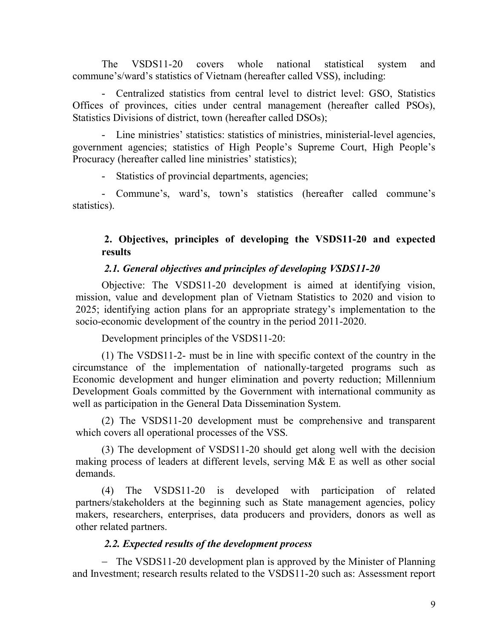The VSDS11-20 covers whole national statistical system and commune's/ward's statistics of Vietnam (hereafter called VSS), including:

- Centralized statistics from central level to district level: GSO, Statistics Offices of provinces, cities under central management (hereafter called PSOs), Statistics Divisions of district, town (hereafter called DSOs);

- Line ministries' statistics: statistics of ministries, ministerial-level agencies, government agencies; statistics of High People's Supreme Court, High People's Procuracy (hereafter called line ministries' statistics);

- Statistics of provincial departments, agencies;

- Commune's, ward's, town's statistics (hereafter called commune's statistics).

## **2. Objectives, principles of developing the VSDS11-20 and expected results**

#### *2.1. General objectives and principles of developing VSDS11-20*

 Objective: The VSDS11-20 development is aimed at identifying vision, mission, value and development plan of Vietnam Statistics to 2020 and vision to 2025; identifying action plans for an appropriate strategy's implementation to the socio-economic development of the country in the period 2011-2020.

Development principles of the VSDS11-20:

(1) The VSDS11-2- must be in line with specific context of the country in the circumstance of the implementation of nationally-targeted programs such as Economic development and hunger elimination and poverty reduction; Millennium Development Goals committed by the Government with international community as well as participation in the General Data Dissemination System.

 (2) The VSDS11-20 development must be comprehensive and transparent which covers all operational processes of the VSS.

(3) The development of VSDS11-20 should get along well with the decision making process of leaders at different levels, serving M& E as well as other social demands.

(4) The VSDS11-20 is developed with participation of related partners/stakeholders at the beginning such as State management agencies, policy makers, researchers, enterprises, data producers and providers, donors as well as other related partners.

## *2.2. Expected results of the development process*

- The VSDS11-20 development plan is approved by the Minister of Planning and Investment; research results related to the VSDS11-20 such as: Assessment report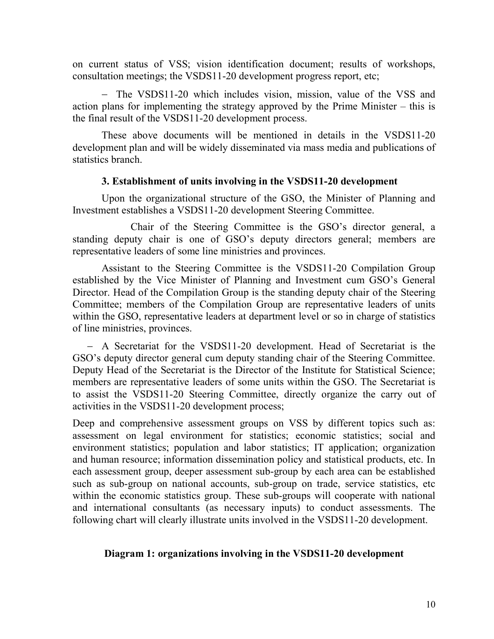on current status of VSS; vision identification document; results of workshops, consultation meetings; the VSDS11-20 development progress report, etc;

- The VSDS11-20 which includes vision, mission, value of the VSS and action plans for implementing the strategy approved by the Prime Minister – this is the final result of the VSDS11-20 development process.

These above documents will be mentioned in details in the VSDS11-20 development plan and will be widely disseminated via mass media and publications of statistics branch.

#### **3. Establishment of units involving in the VSDS11-20 development**

 Upon the organizational structure of the GSO, the Minister of Planning and Investment establishes a VSDS11-20 development Steering Committee.

 Chair of the Steering Committee is the GSO's director general, a standing deputy chair is one of GSO's deputy directors general; members are representative leaders of some line ministries and provinces.

Assistant to the Steering Committee is the VSDS11-20 Compilation Group established by the Vice Minister of Planning and Investment cum GSO's General Director. Head of the Compilation Group is the standing deputy chair of the Steering Committee; members of the Compilation Group are representative leaders of units within the GSO, representative leaders at department level or so in charge of statistics of line ministries, provinces.

 A Secretariat for the VSDS11-20 development. Head of Secretariat is the GSO's deputy director general cum deputy standing chair of the Steering Committee. Deputy Head of the Secretariat is the Director of the Institute for Statistical Science; members are representative leaders of some units within the GSO. The Secretariat is to assist the VSDS11-20 Steering Committee, directly organize the carry out of activities in the VSDS11-20 development process;

Deep and comprehensive assessment groups on VSS by different topics such as: assessment on legal environment for statistics; economic statistics; social and environment statistics; population and labor statistics; IT application; organization and human resource; information dissemination policy and statistical products, etc. In each assessment group, deeper assessment sub-group by each area can be established such as sub-group on national accounts, sub-group on trade, service statistics, etc within the economic statistics group. These sub-groups will cooperate with national and international consultants (as necessary inputs) to conduct assessments. The following chart will clearly illustrate units involved in the VSDS11-20 development.

## **Diagram 1: organizations involving in the VSDS11-20 development**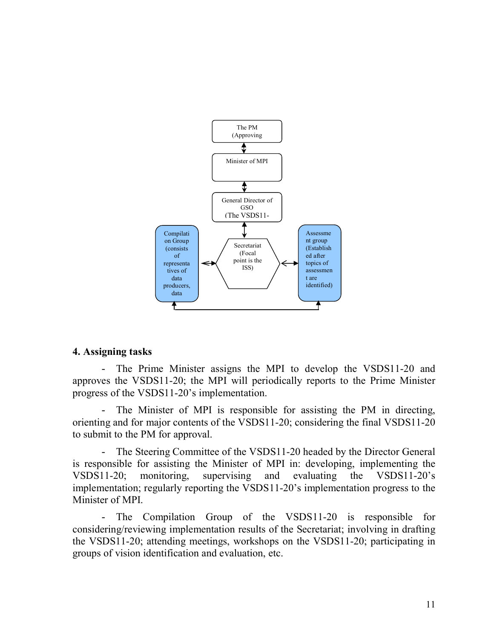

#### **4. Assigning tasks**

The Prime Minister assigns the MPI to develop the VSDS11-20 and approves the VSDS11-20; the MPI will periodically reports to the Prime Minister progress of the VSDS11-20's implementation.

- The Minister of MPI is responsible for assisting the PM in directing, orienting and for major contents of the VSDS11-20; considering the final VSDS11-20 to submit to the PM for approval.

- The Steering Committee of the VSDS11-20 headed by the Director General is responsible for assisting the Minister of MPI in: developing, implementing the VSDS11-20; monitoring, supervising and evaluating the VSDS11-20's implementation; regularly reporting the VSDS11-20's implementation progress to the Minister of MPI.

- The Compilation Group of the VSDS11-20 is responsible for considering/reviewing implementation results of the Secretariat; involving in drafting the VSDS11-20; attending meetings, workshops on the VSDS11-20; participating in groups of vision identification and evaluation, etc.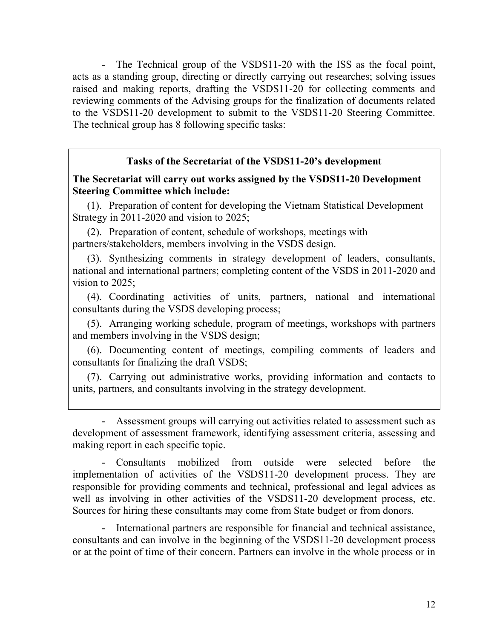- The Technical group of the VSDS11-20 with the ISS as the focal point, acts as a standing group, directing or directly carrying out researches; solving issues raised and making reports, drafting the VSDS11-20 for collecting comments and reviewing comments of the Advising groups for the finalization of documents related to the VSDS11-20 development to submit to the VSDS11-20 Steering Committee. The technical group has 8 following specific tasks:

#### **Tasks of the Secretariat of the VSDS11-20's development**

#### **The Secretariat will carry out works assigned by the VSDS11-20 Development Steering Committee which include:**

(1). Preparation of content for developing the Vietnam Statistical Development Strategy in 2011-2020 and vision to 2025;

(2). Preparation of content, schedule of workshops, meetings with partners/stakeholders, members involving in the VSDS design.

(3). Synthesizing comments in strategy development of leaders, consultants, national and international partners; completing content of the VSDS in 2011-2020 and vision to 2025;

(4). Coordinating activities of units, partners, national and international consultants during the VSDS developing process;

(5). Arranging working schedule, program of meetings, workshops with partners and members involving in the VSDS design;

(6). Documenting content of meetings, compiling comments of leaders and consultants for finalizing the draft VSDS;

(7). Carrying out administrative works, providing information and contacts to units, partners, and consultants involving in the strategy development.

- Assessment groups will carrying out activities related to assessment such as development of assessment framework, identifying assessment criteria, assessing and making report in each specific topic.

- Consultants mobilized from outside were selected before the implementation of activities of the VSDS11-20 development process. They are responsible for providing comments and technical, professional and legal advices as well as involving in other activities of the VSDS11-20 development process, etc. Sources for hiring these consultants may come from State budget or from donors.

- International partners are responsible for financial and technical assistance, consultants and can involve in the beginning of the VSDS11-20 development process or at the point of time of their concern. Partners can involve in the whole process or in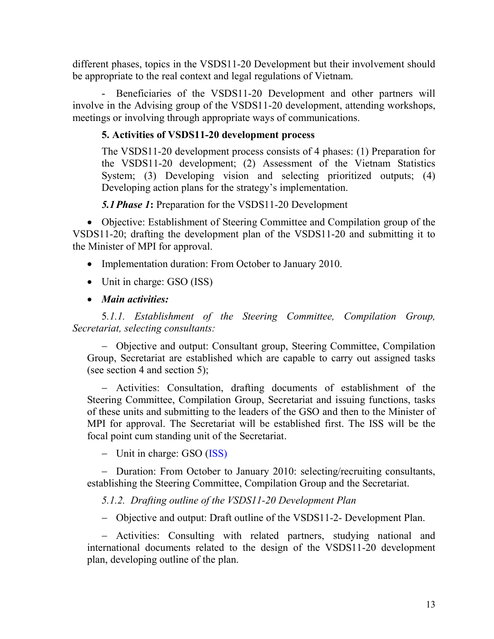different phases, topics in the VSDS11-20 Development but their involvement should be appropriate to the real context and legal regulations of Vietnam.

- Beneficiaries of the VSDS11-20 Development and other partners will involve in the Advising group of the VSDS11-20 development, attending workshops, meetings or involving through appropriate ways of communications.

## **5. Activities of VSDS11-20 development process**

The VSDS11-20 development process consists of 4 phases: (1) Preparation for the VSDS11-20 development; (2) Assessment of the Vietnam Statistics System; (3) Developing vision and selecting prioritized outputs; (4) Developing action plans for the strategy's implementation.

*5.1Phase 1***:** Preparation for the VSDS11-20 Development

 Objective: Establishment of Steering Committee and Compilation group of the VSDS11-20; drafting the development plan of the VSDS11-20 and submitting it to the Minister of MPI for approval.

- Implementation duration: From October to January 2010.
- Unit in charge: GSO (ISS)
- *Main activities:*

 5*.1.1. Establishment of the Steering Committee, Compilation Group, Secretariat, selecting consultants:* 

 Objective and output: Consultant group, Steering Committee, Compilation Group, Secretariat are established which are capable to carry out assigned tasks (see section 4 and section 5);

 Activities: Consultation, drafting documents of establishment of the Steering Committee, Compilation Group, Secretariat and issuing functions, tasks of these units and submitting to the leaders of the GSO and then to the Minister of MPI for approval. The Secretariat will be established first. The ISS will be the focal point cum standing unit of the Secretariat.

 $-$  Unit in charge: GSO (ISS)

- Duration: From October to January 2010: selecting/recruiting consultants, establishing the Steering Committee, Compilation Group and the Secretariat.

 *5.1.2. Drafting outline of the VSDS11-20 Development Plan* 

Objective and output: Draft outline of the VSDS11-2- Development Plan.

 Activities: Consulting with related partners, studying national and international documents related to the design of the VSDS11-20 development plan, developing outline of the plan.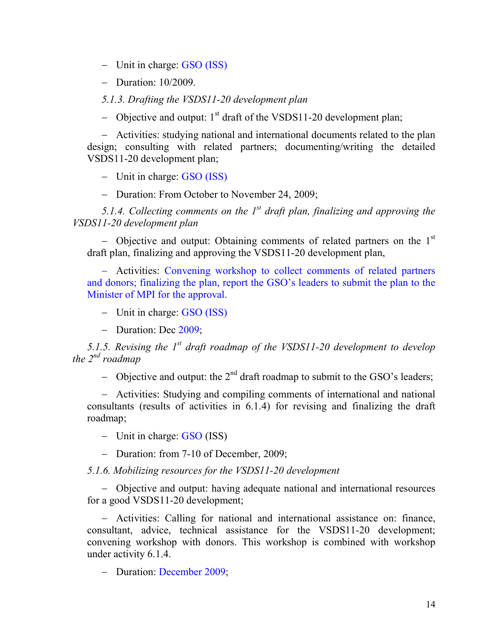$-$  Unit in charge: GSO (ISS)

 $-$  Duration:  $10/2009$ .

 *5.1.3. Drafting the VSDS11-20 development plan* 

- Objective and output:  $1<sup>st</sup>$  draft of the VSDS11-20 development plan;

 Activities: studying national and international documents related to the plan design; consulting with related partners; documenting/writing the detailed VSDS11-20 development plan;

- Unit in charge: GSO (ISS)

- Duration: From October to November 24, 2009;

 *5.1.4. Collecting comments on the 1st draft plan, finalizing and approving the VSDS11-20 development plan* 

- Objective and output: Obtaining comments of related partners on the  $1<sup>st</sup>$ draft plan, finalizing and approving the VSDS11-20 development plan,

 Activities: Convening workshop to collect comments of related partners and donors; finalizing the plan, report the GSO's leaders to submit the plan to the Minister of MPI for the approval.

- $-$  Unit in charge: GSO (ISS)
- Duration: Dec 2009;

*5.1.5. Revising the 1st draft roadmap of the VSDS11-20 development to develop the 2nd roadmap* 

- Objective and output: the  $2<sup>nd</sup>$  draft roadmap to submit to the GSO's leaders;

 Activities: Studying and compiling comments of international and national consultants (results of activities in 6.1.4) for revising and finalizing the draft roadmap;

 $-$  Unit in charge: GSO (ISS)

- Duration: from 7-10 of December, 2009;

*5.1.6. Mobilizing resources for the VSDS11-20 development* 

 Objective and output: having adequate national and international resources for a good VSDS11-20 development;

 Activities: Calling for national and international assistance on: finance, consultant, advice, technical assistance for the VSDS11-20 development; convening workshop with donors. This workshop is combined with workshop under activity 6.1.4.

- Duration: December 2009;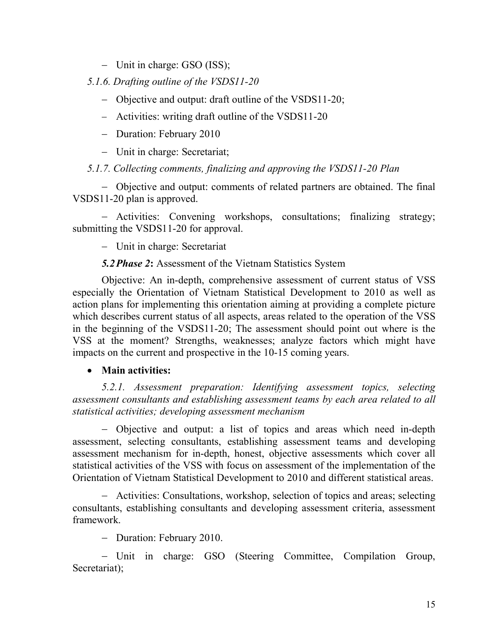- Unit in charge: GSO (ISS);

*5.1.6. Drafting outline of the VSDS11-20* 

- Objective and output: draft outline of the VSDS11-20;
- Activities: writing draft outline of the VSDS11-20
- Duration: February 2010
- Unit in charge: Secretariat;

## *5.1.7. Collecting comments, finalizing and approving the VSDS11-20 Plan*

 Objective and output: comments of related partners are obtained. The final VSDS11-20 plan is approved.

 Activities: Convening workshops, consultations; finalizing strategy; submitting the VSDS11-20 for approval.

Unit in charge: Secretariat

## *5.2Phase 2***:** Assessment of the Vietnam Statistics System

 Objective: An in-depth, comprehensive assessment of current status of VSS especially the Orientation of Vietnam Statistical Development to 2010 as well as action plans for implementing this orientation aiming at providing a complete picture which describes current status of all aspects, areas related to the operation of the VSS in the beginning of the VSDS11-20; The assessment should point out where is the VSS at the moment? Strengths, weaknesses; analyze factors which might have impacts on the current and prospective in the 10-15 coming years.

## **Main activities:**

 *5.2.1. Assessment preparation: Identifying assessment topics, selecting assessment consultants and establishing assessment teams by each area related to all statistical activities; developing assessment mechanism* 

 Objective and output: a list of topics and areas which need in-depth assessment, selecting consultants, establishing assessment teams and developing assessment mechanism for in-depth, honest, objective assessments which cover all statistical activities of the VSS with focus on assessment of the implementation of the Orientation of Vietnam Statistical Development to 2010 and different statistical areas.

 Activities: Consultations, workshop, selection of topics and areas; selecting consultants, establishing consultants and developing assessment criteria, assessment framework.

- Duration: February 2010.

 Unit in charge: GSO (Steering Committee, Compilation Group, Secretariat);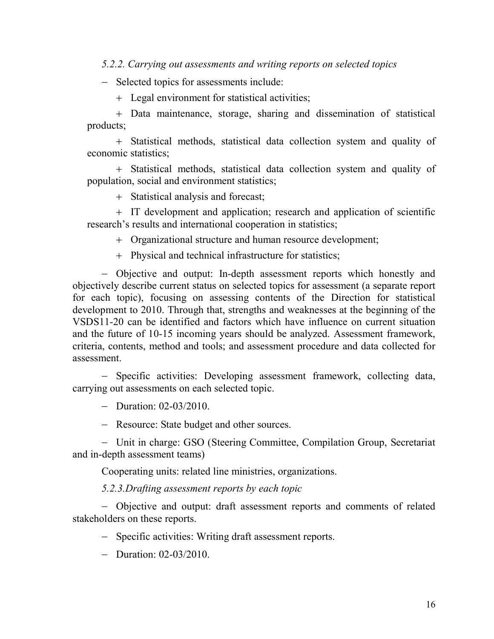*5.2.2. Carrying out assessments and writing reports on selected topics* 

- Selected topics for assessments include:

Legal environment for statistical activities;

 Data maintenance, storage, sharing and dissemination of statistical products;

 Statistical methods, statistical data collection system and quality of economic statistics;

 Statistical methods, statistical data collection system and quality of population, social and environment statistics;

Statistical analysis and forecast;

 IT development and application; research and application of scientific research's results and international cooperation in statistics;

Organizational structure and human resource development;

Physical and technical infrastructure for statistics;

 Objective and output: In-depth assessment reports which honestly and objectively describe current status on selected topics for assessment (a separate report for each topic), focusing on assessing contents of the Direction for statistical development to 2010. Through that, strengths and weaknesses at the beginning of the VSDS11-20 can be identified and factors which have influence on current situation and the future of 10-15 incoming years should be analyzed. Assessment framework, criteria, contents, method and tools; and assessment procedure and data collected for assessment.

- Specific activities: Developing assessment framework, collecting data, carrying out assessments on each selected topic.

- Duration:  $02-03/2010$ .

- Resource: State budget and other sources.

 Unit in charge: GSO (Steering Committee, Compilation Group, Secretariat and in-depth assessment teams)

Cooperating units: related line ministries, organizations.

*5.2.3.Drafting assessment reports by each topic* 

 Objective and output: draft assessment reports and comments of related stakeholders on these reports.

- Specific activities: Writing draft assessment reports.

- Duration:  $02-03/2010$ .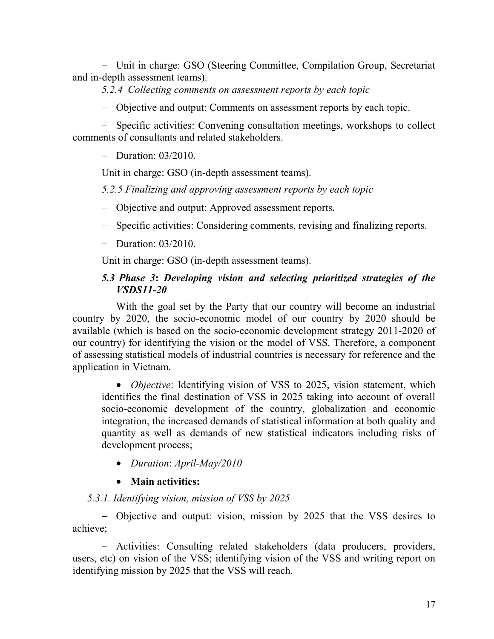Unit in charge: GSO (Steering Committee, Compilation Group, Secretariat and in-depth assessment teams).

*5.2.4 Collecting comments on assessment reports by each topic* 

Objective and output: Comments on assessment reports by each topic.

- Specific activities: Convening consultation meetings, workshops to collect comments of consultants and related stakeholders.

 $-$  Duration:  $03/2010$ .

Unit in charge: GSO (in-depth assessment teams).

*5.2.5 Finalizing and approving assessment reports by each topic* 

- Objective and output: Approved assessment reports.
- Specific activities: Considering comments, revising and finalizing reports.
- $-$  Duration: 03/2010.

Unit in charge: GSO (in-depth assessment teams).

#### *5.3 Phase 3***:** *Developing vision and selecting prioritized strategies of the VSDS11-20*

With the goal set by the Party that our country will become an industrial country by 2020, the socio-economic model of our country by 2020 should be available (which is based on the socio-economic development strategy 2011-2020 of our country) for identifying the vision or the model of VSS. Therefore, a component of assessing statistical models of industrial countries is necessary for reference and the application in Vietnam.

 *Objective*: Identifying vision of VSS to 2025, vision statement, which identifies the final destination of VSS in 2025 taking into account of overall socio-economic development of the country, globalization and economic integration, the increased demands of statistical information at both quality and quantity as well as demands of new statistical indicators including risks of development process;

*Duration*: *April-May/2010*

## **Main activities:**

## *5.3.1. Identifying vision, mission of VSS by 2025*

 Objective and output: vision, mission by 2025 that the VSS desires to achieve;

 Activities: Consulting related stakeholders (data producers, providers, users, etc) on vision of the VSS; identifying vision of the VSS and writing report on identifying mission by 2025 that the VSS will reach.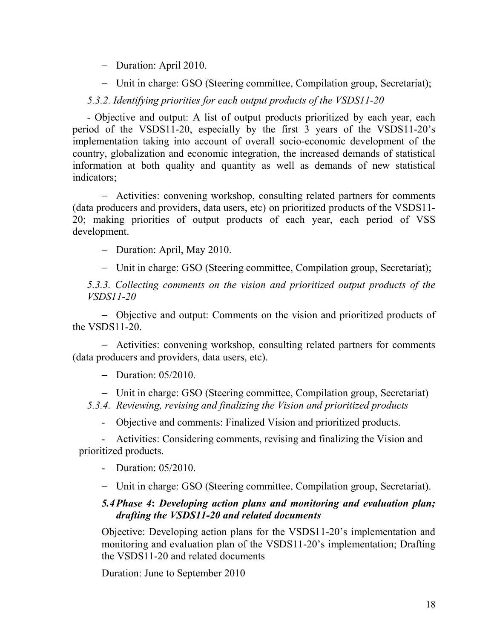- Duration: April 2010.
- Unit in charge: GSO (Steering committee, Compilation group, Secretariat);

*5.3.2. Identifying priorities for each output products of the VSDS11-20* 

*-* Objective and output: A list of output products prioritized by each year, each period of the VSDS11-20, especially by the first 3 years of the VSDS11-20's implementation taking into account of overall socio-economic development of the country, globalization and economic integration, the increased demands of statistical information at both quality and quantity as well as demands of new statistical indicators;

 Activities: convening workshop, consulting related partners for comments (data producers and providers, data users, etc) on prioritized products of the VSDS11- 20; making priorities of output products of each year, each period of VSS development.

- Duration: April, May 2010.

Unit in charge: GSO (Steering committee, Compilation group, Secretariat);

*5.3.3. Collecting comments on the vision and prioritized output products of the VSDS11-20* 

 Objective and output: Comments on the vision and prioritized products of the VSDS11-20.

 Activities: convening workshop, consulting related partners for comments (data producers and providers, data users, etc).

- Duration:  $05/2010$ .

Unit in charge: GSO (Steering committee, Compilation group, Secretariat)

*5.3.4. Reviewing, revising and finalizing the Vision and prioritized products* 

- Objective and comments: Finalized Vision and prioritized products.

- Activities: Considering comments, revising and finalizing the Vision and prioritized products.

- Duration: 05/2010.

Unit in charge: GSO (Steering committee, Compilation group, Secretariat).

#### *5.4Phase 4***:** *Developing action plans and monitoring and evaluation plan; drafting the VSDS11-20 and related documents*

Objective: Developing action plans for the VSDS11-20's implementation and monitoring and evaluation plan of the VSDS11-20's implementation; Drafting the VSDS11-20 and related documents

Duration: June to September 2010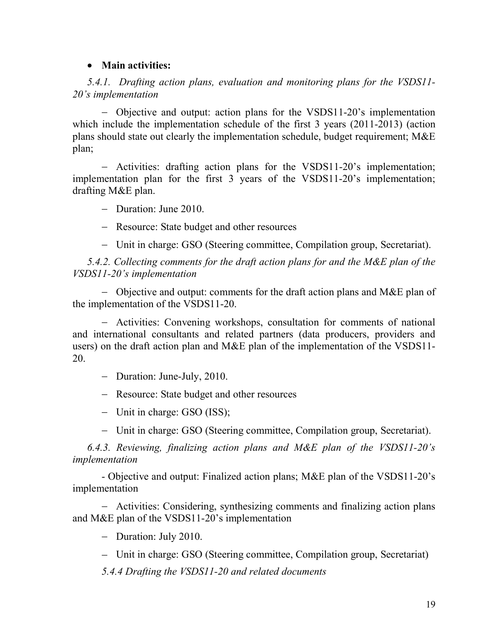#### **Main activities:**

*5.4.1. Drafting action plans, evaluation and monitoring plans for the VSDS11- 20's implementation* 

 Objective and output: action plans for the VSDS11-20's implementation which include the implementation schedule of the first 3 years (2011-2013) (action plans should state out clearly the implementation schedule, budget requirement; M&E plan;

 Activities: drafting action plans for the VSDS11-20's implementation; implementation plan for the first 3 years of the VSDS11-20's implementation; drafting M&E plan.

- Duration: June 2010.

- Resource: State budget and other resources

Unit in charge: GSO (Steering committee, Compilation group, Secretariat).

*5.4.2. Collecting comments for the draft action plans for and the M&E plan of the VSDS11-20's implementation* 

 Objective and output: comments for the draft action plans and M&E plan of the implementation of the VSDS11-20.

 Activities: Convening workshops, consultation for comments of national and international consultants and related partners (data producers, providers and users) on the draft action plan and M&E plan of the implementation of the VSDS11- 20.

- Duration: June-July, 2010.

- Resource: State budget and other resources

- Unit in charge: GSO (ISS);

Unit in charge: GSO (Steering committee, Compilation group, Secretariat).

*6.4.3. Reviewing, finalizing action plans and M&E plan of the VSDS11-20's implementation* 

- Objective and output: Finalized action plans; M&E plan of the VSDS11-20's implementation

 Activities: Considering, synthesizing comments and finalizing action plans and M&E plan of the VSDS11-20's implementation

- Duration: July 2010.

Unit in charge: GSO (Steering committee, Compilation group, Secretariat)

*5.4.4 Drafting the VSDS11-20 and related documents*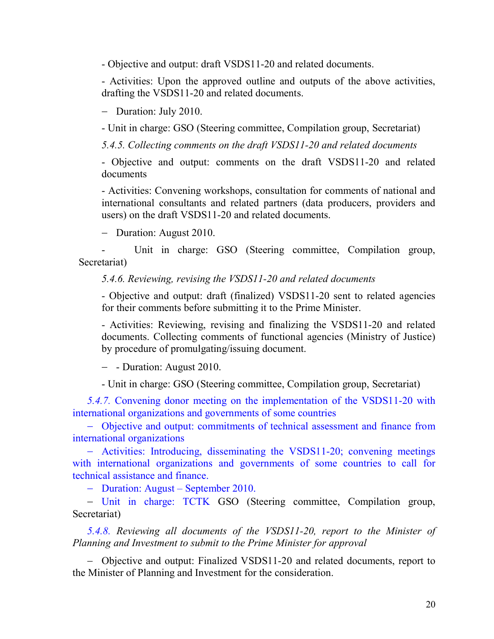- Objective and output: draft VSDS11-20 and related documents.

- Activities: Upon the approved outline and outputs of the above activities, drafting the VSDS11-20 and related documents.

- Duration: July 2010.

- Unit in charge: GSO (Steering committee, Compilation group, Secretariat)

*5.4.5. Collecting comments on the draft VSDS11-20 and related documents* 

- Objective and output: comments on the draft VSDS11-20 and related documents

- Activities: Convening workshops, consultation for comments of national and international consultants and related partners (data producers, providers and users) on the draft VSDS11-20 and related documents.

- Duration: August 2010.

Unit in charge: GSO (Steering committee, Compilation group, Secretariat)

*5.4.6. Reviewing, revising the VSDS11-20 and related documents* 

- Objective and output: draft (finalized) VSDS11-20 sent to related agencies for their comments before submitting it to the Prime Minister.

- Activities: Reviewing, revising and finalizing the VSDS11-20 and related documents. Collecting comments of functional agencies (Ministry of Justice) by procedure of promulgating/issuing document.

- - Duration: August 2010.

- Unit in charge: GSO (Steering committee, Compilation group, Secretariat)

*5.4.7.* Convening donor meeting on the implementation of the VSDS11-20 with international organizations and governments of some countries

 Objective and output: commitments of technical assessment and finance from international organizations

 Activities: Introducing, disseminating the VSDS11-20; convening meetings with international organizations and governments of some countries to call for technical assistance and finance.

– Duration: August – September 2010.

 Unit in charge: TCTK GSO (Steering committee, Compilation group, Secretariat)

*5.4.8. Reviewing all documents of the VSDS11-20, report to the Minister of Planning and Investment to submit to the Prime Minister for approval* 

 Objective and output: Finalized VSDS11-20 and related documents, report to the Minister of Planning and Investment for the consideration.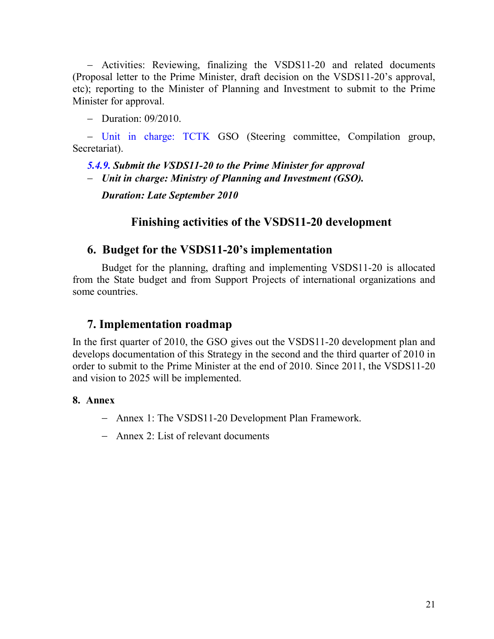Activities: Reviewing, finalizing the VSDS11-20 and related documents (Proposal letter to the Prime Minister, draft decision on the VSDS11-20's approval, etc); reporting to the Minister of Planning and Investment to submit to the Prime Minister for approval.

 $-$  Duration: 09/2010.

 Unit in charge: TCTK GSO (Steering committee, Compilation group, Secretariat).

*5.4.9. Submit the VSDS11-20 to the Prime Minister for approval* 

*Unit in charge: Ministry of Planning and Investment (GSO).* 

*Duration: Late September 2010* 

# **Finishing activities of the VSDS11-20 development**

## **6. Budget for the VSDS11-20's implementation**

Budget for the planning, drafting and implementing VSDS11-20 is allocated from the State budget and from Support Projects of international organizations and some countries.

## **7. Implementation roadmap**

In the first quarter of 2010, the GSO gives out the VSDS11-20 development plan and develops documentation of this Strategy in the second and the third quarter of 2010 in order to submit to the Prime Minister at the end of 2010. Since 2011, the VSDS11-20 and vision to 2025 will be implemented.

## **8. Annex**

- Annex 1: The VSDS11-20 Development Plan Framework.
- Annex 2: List of relevant documents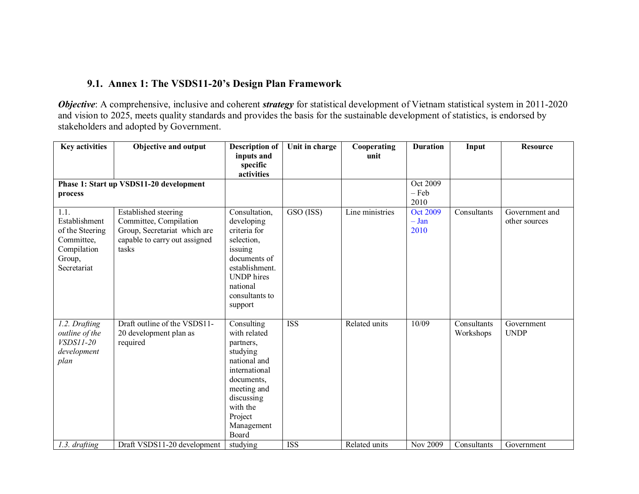#### **9.1. Annex 1: The VSDS11-20's Design Plan Framework**

*Objective*: A comprehensive, inclusive and coherent *strategy* for statistical development of Vietnam statistical system in 2011-2020 and vision to 2025, meets quality standards and provides the basis for the sustainable development of statistics, is endorsed by stakeholders and adopted by Government.

| <b>Key activities</b>                                                                          | <b>Objective and output</b>                                                                                              | <b>Description of</b><br>inputs and<br>specific<br>activities                                                                                                                 | Unit in charge           | Cooperating<br>unit | <b>Duration</b>                    | Input                    | <b>Resource</b>                 |
|------------------------------------------------------------------------------------------------|--------------------------------------------------------------------------------------------------------------------------|-------------------------------------------------------------------------------------------------------------------------------------------------------------------------------|--------------------------|---------------------|------------------------------------|--------------------------|---------------------------------|
| process                                                                                        | Phase 1: Start up VSDS11-20 development                                                                                  |                                                                                                                                                                               |                          |                     | Oct 2009<br>$-$ Feb<br>2010        |                          |                                 |
| 1.1.<br>Establishment<br>of the Steering<br>Committee,<br>Compilation<br>Group,<br>Secretariat | Established steering<br>Committee, Compilation<br>Group, Secretariat which are<br>capable to carry out assigned<br>tasks | Consultation,<br>developing<br>criteria for<br>selection,<br>issuing<br>documents of<br>establishment.<br><b>UNDP</b> hires<br>national<br>consultants to<br>support          | GSO (ISS)                | Line ministries     | <b>Oct 2009</b><br>$-$ Jan<br>2010 | Consultants              | Government and<br>other sources |
| 1.2. Drafting<br>outline of the<br><i>VSDS11-20</i><br>development<br>plan                     | Draft outline of the VSDS11-<br>20 development plan as<br>required<br>Draft VSDS11-20 development                        | Consulting<br>with related<br>partners,<br>studying<br>national and<br>international<br>documents,<br>meeting and<br>discussing<br>with the<br>Project<br>Management<br>Board | <b>ISS</b><br><b>ISS</b> | Related units       | 10/09<br>Nov 2009                  | Consultants<br>Workshops | Government<br><b>UNDP</b>       |
| 1.3. drafting                                                                                  |                                                                                                                          | studying                                                                                                                                                                      |                          | Related units       |                                    | Consultants              | Government                      |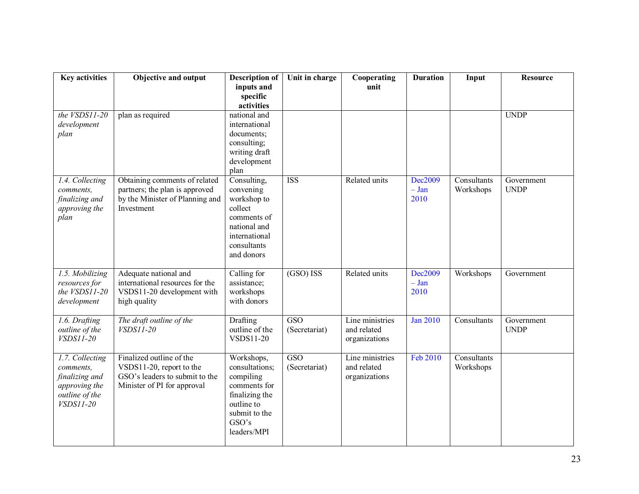| <b>Key activities</b> | <b>Objective and output</b>     | <b>Description of</b>    | Unit in charge          | Cooperating     | <b>Duration</b> | Input       | <b>Resource</b> |
|-----------------------|---------------------------------|--------------------------|-------------------------|-----------------|-----------------|-------------|-----------------|
|                       |                                 | inputs and               |                         | unit            |                 |             |                 |
|                       |                                 | specific<br>activities   |                         |                 |                 |             |                 |
| the $VSDS11-20$       | plan as required                | national and             |                         |                 |                 |             | <b>UNDP</b>     |
| development           |                                 | international            |                         |                 |                 |             |                 |
| plan                  |                                 | documents;               |                         |                 |                 |             |                 |
|                       |                                 | consulting;              |                         |                 |                 |             |                 |
|                       |                                 | writing draft            |                         |                 |                 |             |                 |
|                       |                                 | development              |                         |                 |                 |             |                 |
|                       |                                 | plan                     |                         |                 |                 |             |                 |
| 1.4. Collecting       | Obtaining comments of related   | Consulting,              | <b>ISS</b>              | Related units   | Dec2009         | Consultants | Government      |
| comments,             | partners; the plan is approved  | convening                |                         |                 | $- Jan$         | Workshops   | <b>UNDP</b>     |
| finalizing and        | by the Minister of Planning and | workshop to<br>collect   |                         |                 | 2010            |             |                 |
| approving the<br>plan | Investment                      | comments of              |                         |                 |                 |             |                 |
|                       |                                 | national and             |                         |                 |                 |             |                 |
|                       |                                 | international            |                         |                 |                 |             |                 |
|                       |                                 | consultants              |                         |                 |                 |             |                 |
|                       |                                 | and donors               |                         |                 |                 |             |                 |
|                       |                                 |                          |                         |                 |                 |             |                 |
| 1.5. Mobilizing       | Adequate national and           | Calling for              | $(GSO)$ ISS             | Related units   | Dec2009         | Workshops   | Government      |
| resources for         | international resources for the | assistance;              |                         |                 | $-$ Jan         |             |                 |
| the VSDS11-20         | VSDS11-20 development with      | workshops<br>with donors |                         |                 | 2010            |             |                 |
| development           | high quality                    |                          |                         |                 |                 |             |                 |
| 1.6. Drafting         | The draft outline of the        | Drafting                 | $\overline{GSO}$        | Line ministries | <b>Jan 2010</b> | Consultants | Government      |
| outline of the        | <i>VSDS11-20</i>                | outline of the           | (Secretariat)           | and related     |                 |             | <b>UNDP</b>     |
| VSDS11-20             |                                 | VSDS11-20                |                         | organizations   |                 |             |                 |
| 1.7. Collecting       | Finalized outline of the        | Workshops,               | $\overline{\text{GSO}}$ | Line ministries | Feb 2010        | Consultants |                 |
| comments.             | VSDS11-20, report to the        | consultations;           | (Secretariat)           | and related     |                 | Workshops   |                 |
| finalizing and        | GSO's leaders to submit to the  | compiling                |                         | organizations   |                 |             |                 |
| approving the         | Minister of PI for approval     | comments for             |                         |                 |                 |             |                 |
| outline of the        |                                 | finalizing the           |                         |                 |                 |             |                 |
| <i>VSDS11-20</i>      |                                 | outline to               |                         |                 |                 |             |                 |
|                       |                                 | submit to the            |                         |                 |                 |             |                 |
|                       |                                 | GSO's                    |                         |                 |                 |             |                 |
|                       |                                 | leaders/MPI              |                         |                 |                 |             |                 |
|                       |                                 |                          |                         |                 |                 |             |                 |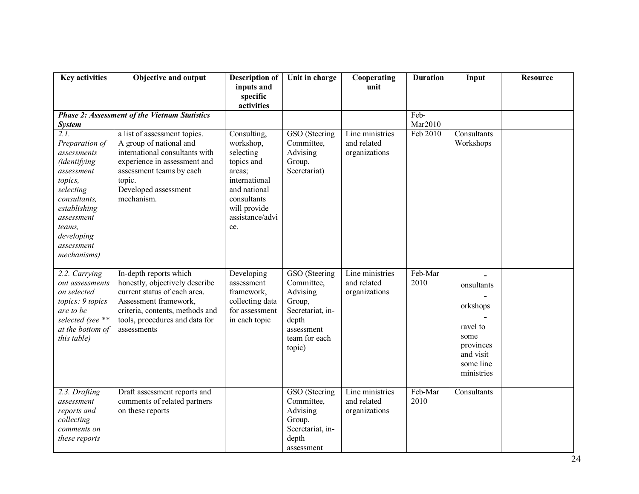| <b>Key activities</b>                                                                                                                                                                                 | <b>Objective and output</b>                                                                                                                                                                           | <b>Description of</b><br>inputs and<br>specific<br>activities                                                                                           | Unit in charge                                                                                                          | Cooperating<br>unit                             | <b>Duration</b> | Input                                                                                           | <b>Resource</b> |
|-------------------------------------------------------------------------------------------------------------------------------------------------------------------------------------------------------|-------------------------------------------------------------------------------------------------------------------------------------------------------------------------------------------------------|---------------------------------------------------------------------------------------------------------------------------------------------------------|-------------------------------------------------------------------------------------------------------------------------|-------------------------------------------------|-----------------|-------------------------------------------------------------------------------------------------|-----------------|
|                                                                                                                                                                                                       | <b>Phase 2: Assessment of the Vietnam Statistics</b>                                                                                                                                                  |                                                                                                                                                         |                                                                                                                         |                                                 | Feb-            |                                                                                                 |                 |
| <b>System</b>                                                                                                                                                                                         |                                                                                                                                                                                                       |                                                                                                                                                         |                                                                                                                         |                                                 | Mar2010         |                                                                                                 |                 |
| 2.1.<br>Preparation of<br>assessments<br><i>(identifying</i><br>assessment<br>topics,<br>selecting<br>consultants,<br>establishing<br>assessment<br>teams,<br>developing<br>assessment<br>mechanisms) | a list of assessment topics.<br>A group of national and<br>international consultants with<br>experience in assessment and<br>assessment teams by each<br>topic.<br>Developed assessment<br>mechanism. | Consulting,<br>workshop,<br>selecting<br>topics and<br>areas;<br>international<br>and national<br>consultants<br>will provide<br>assistance/advi<br>ce. | GSO (Steering<br>Committee,<br>Advising<br>Group,<br>Secretariat)                                                       | Line ministries<br>and related<br>organizations | Feb 2010        | Consultants<br>Workshops                                                                        |                 |
| 2.2. Carrying<br>out assessments<br>on selected<br>topics: 9 topics<br>are to be<br>selected (see **<br>at the bottom of<br>this table)                                                               | In-depth reports which<br>honestly, objectively describe<br>current status of each area.<br>Assessment framework,<br>criteria, contents, methods and<br>tools, procedures and data for<br>assessments | Developing<br>assessment<br>framework,<br>collecting data<br>for assessment<br>in each topic                                                            | GSO (Steering<br>Committee,<br>Advising<br>Group,<br>Secretariat, in-<br>depth<br>assessment<br>team for each<br>topic) | Line ministries<br>and related<br>organizations | Feb-Mar<br>2010 | onsultants<br>orkshops<br>ravel to<br>some<br>provinces<br>and visit<br>some line<br>ministries |                 |
| 2.3. Drafting<br>assessment<br>reports and<br>collecting<br>comments on<br>these reports                                                                                                              | Draft assessment reports and<br>comments of related partners<br>on these reports                                                                                                                      |                                                                                                                                                         | GSO (Steering<br>Committee,<br>Advising<br>Group,<br>Secretariat, in-<br>depth<br>assessment                            | Line ministries<br>and related<br>organizations | Feb-Mar<br>2010 | Consultants                                                                                     |                 |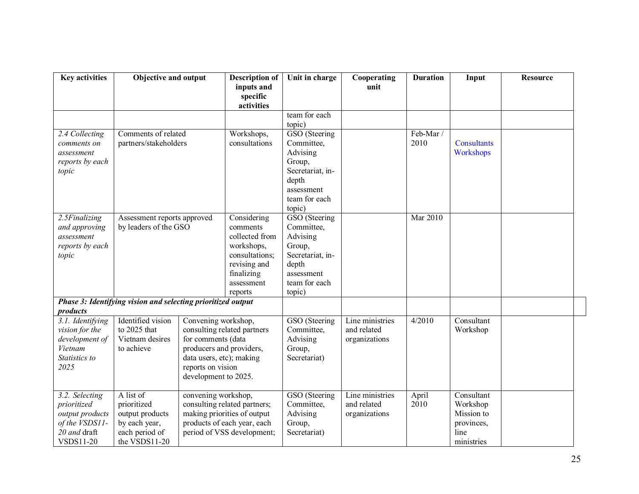| <b>Key activities</b>                                                                                  | Objective and output                                                                                                 |                                                                                                                                                                               | <b>Description of</b><br>inputs and<br>specific<br>activities                                                                    | Unit in charge                                                                                                                    | Cooperating<br>unit                             | <b>Duration</b> | Input                                                                    | <b>Resource</b> |
|--------------------------------------------------------------------------------------------------------|----------------------------------------------------------------------------------------------------------------------|-------------------------------------------------------------------------------------------------------------------------------------------------------------------------------|----------------------------------------------------------------------------------------------------------------------------------|-----------------------------------------------------------------------------------------------------------------------------------|-------------------------------------------------|-----------------|--------------------------------------------------------------------------|-----------------|
|                                                                                                        |                                                                                                                      |                                                                                                                                                                               |                                                                                                                                  | team for each                                                                                                                     |                                                 |                 |                                                                          |                 |
|                                                                                                        |                                                                                                                      |                                                                                                                                                                               |                                                                                                                                  | topic)                                                                                                                            |                                                 |                 |                                                                          |                 |
| 2.4 Collecting<br>comments on<br>assessment<br>reports by each<br>topic                                | Comments of related<br>partners/stakeholders                                                                         |                                                                                                                                                                               | Workshops,<br>consultations                                                                                                      | GSO (Steering<br>Committee,<br>Advising<br>Group,<br>Secretariat, in-<br>depth<br>assessment                                      |                                                 | Feb-Mar<br>2010 | <b>Consultants</b><br>Workshops                                          |                 |
|                                                                                                        |                                                                                                                      |                                                                                                                                                                               |                                                                                                                                  | team for each                                                                                                                     |                                                 |                 |                                                                          |                 |
| 2.5Finalizing<br>and approving<br>assessment<br>reports by each<br>topic<br>products                   | Assessment reports approved<br>by leaders of the GSO<br>Phase 3: Identifying vision and selecting prioritized output |                                                                                                                                                                               | Considering<br>comments<br>collected from<br>workshops,<br>consultations;<br>revising and<br>finalizing<br>assessment<br>reports | topic)<br>GSO (Steering<br>Committee,<br>Advising<br>Group,<br>Secretariat, in-<br>depth<br>assessment<br>team for each<br>topic) |                                                 | <b>Mar 2010</b> |                                                                          |                 |
| 3.1. Identifying<br>vision for the<br>development of<br>Vietnam<br>Statistics to<br>2025               | Identified vision<br>to 2025 that<br>Vietnam desires<br>to achieve                                                   | Convening workshop,<br>consulting related partners<br>for comments (data<br>producers and providers,<br>data users, etc); making<br>reports on vision<br>development to 2025. |                                                                                                                                  | GSO (Steering<br>Committee,<br>Advising<br>Group,<br>Secretariat)                                                                 | Line ministries<br>and related<br>organizations | 4/2010          | Consultant<br>Workshop                                                   |                 |
| 3.2. Selecting<br>prioritized<br>output products<br>of the VSDS11-<br>20 and draft<br><b>VSDS11-20</b> | A list of<br>prioritized<br>output products<br>by each year,<br>each period of<br>the VSDS11-20                      | convening workshop,<br>consulting related partners;<br>making priorities of output<br>products of each year, each<br>period of VSS development;                               |                                                                                                                                  | GSO (Steering<br>Committee,<br>Advising<br>Group,<br>Secretariat)                                                                 | Line ministries<br>and related<br>organizations | April<br>2010   | Consultant<br>Workshop<br>Mission to<br>provinces,<br>line<br>ministries |                 |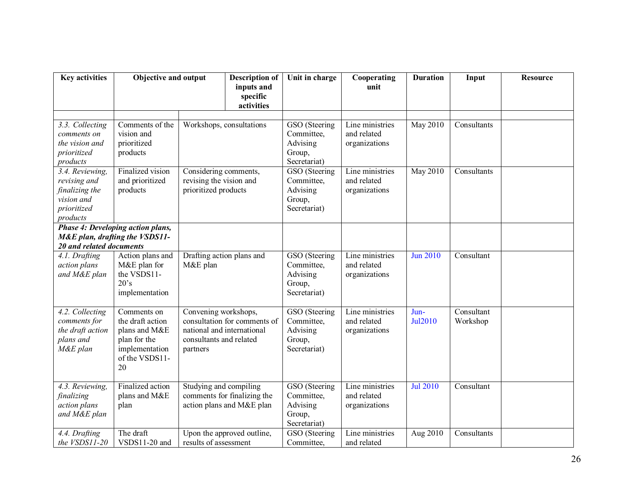| <b>Key activities</b>                                                                      | <b>Objective and output</b>                                                                                |                                                                                                                           | <b>Description of</b><br>inputs and<br>specific<br>activities | Unit in charge                                                    | Cooperating<br>unit                             | <b>Duration</b> | Input                  | <b>Resource</b> |
|--------------------------------------------------------------------------------------------|------------------------------------------------------------------------------------------------------------|---------------------------------------------------------------------------------------------------------------------------|---------------------------------------------------------------|-------------------------------------------------------------------|-------------------------------------------------|-----------------|------------------------|-----------------|
| 3.3. Collecting<br>comments on<br>the vision and<br>prioritized<br>products                | Comments of the<br>vision and<br>prioritized<br>products                                                   | Workshops, consultations                                                                                                  |                                                               | GSO (Steering<br>Committee,<br>Advising<br>Group,<br>Secretariat) | Line ministries<br>and related<br>organizations | <b>May 2010</b> | Consultants            |                 |
| 3.4. Reviewing,<br>revising and<br>finalizing the<br>vision and<br>prioritized<br>products | Finalized vision<br>and prioritized<br>products                                                            | Considering comments,<br>revising the vision and<br>prioritized products                                                  |                                                               | GSO (Steering<br>Committee,<br>Advising<br>Group,<br>Secretariat) | Line ministries<br>and related<br>organizations | <b>May 2010</b> | Consultants            |                 |
| Phase 4: Developing action plans,<br>M&E plan, drafting the VSDS11-                        |                                                                                                            |                                                                                                                           |                                                               |                                                                   |                                                 |                 |                        |                 |
| 20 and related documents                                                                   |                                                                                                            |                                                                                                                           |                                                               |                                                                   |                                                 |                 |                        |                 |
| 4.1. Drafting<br>action plans<br>and M&E plan                                              | Action plans and<br>M&E plan for<br>the VSDS11-<br>20's<br>implementation                                  | Drafting action plans and<br>M&E plan                                                                                     |                                                               | GSO (Steering<br>Committee,<br>Advising<br>Group,<br>Secretariat) | Line ministries<br>and related<br>organizations | <b>Jun 2010</b> | Consultant             |                 |
| 4.2. Collecting<br>comments for<br>the draft action<br>plans and<br>M&E plan               | Comments on<br>the draft action<br>plans and M&E<br>plan for the<br>implementation<br>of the VSDS11-<br>20 | Convening workshops,<br>consultation for comments of<br>national and international<br>consultants and related<br>partners |                                                               | GSO (Steering<br>Committee,<br>Advising<br>Group,<br>Secretariat) | Line ministries<br>and related<br>organizations | Jun-<br>Jul2010 | Consultant<br>Workshop |                 |
| 4.3. Reviewing,<br>finalizing<br>action plans<br>and M&E plan                              | Finalized action<br>plans and M&E<br>plan                                                                  | Studying and compiling<br>comments for finalizing the<br>action plans and M&E plan                                        |                                                               | GSO (Steering<br>Committee,<br>Advising<br>Group,<br>Secretariat) | Line ministries<br>and related<br>organizations | <b>Jul 2010</b> | Consultant             |                 |
| 4.4. Drafting<br>the VSDS11-20                                                             | The draft<br>VSDS11-20 and                                                                                 | results of assessment                                                                                                     | Upon the approved outline,                                    | GSO (Steering<br>Committee,                                       | Line ministries<br>and related                  | Aug 2010        | Consultants            |                 |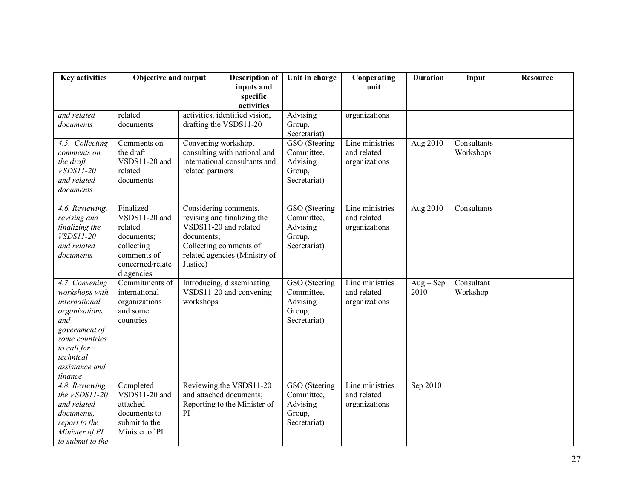| <b>Key activities</b>                                                                                                                                                 | <b>Objective and output</b>                                                                                        |                                                                                                                                                                    | <b>Description of</b><br>inputs and<br>specific         | Unit in charge                                                    | Cooperating<br>unit                             | <b>Duration</b>     | Input                    | <b>Resource</b> |
|-----------------------------------------------------------------------------------------------------------------------------------------------------------------------|--------------------------------------------------------------------------------------------------------------------|--------------------------------------------------------------------------------------------------------------------------------------------------------------------|---------------------------------------------------------|-------------------------------------------------------------------|-------------------------------------------------|---------------------|--------------------------|-----------------|
| and related<br>documents                                                                                                                                              | related<br>documents                                                                                               | activities<br>activities, identified vision,<br>drafting the VSDS11-20                                                                                             |                                                         | Advising<br>Group,<br>Secretariat)                                | organizations                                   |                     |                          |                 |
| 4.5. Collecting<br>comments on<br>the draft<br><i>VSDS11-20</i><br>and related<br>documents                                                                           | Comments on<br>the draft<br>VSDS11-20 and<br>related<br>documents                                                  | Convening workshop,<br>consulting with national and<br>international consultants and<br>related partners                                                           |                                                         | GSO (Steering<br>Committee,<br>Advising<br>Group,<br>Secretariat) | Line ministries<br>and related<br>organizations | Aug 2010            | Consultants<br>Workshops |                 |
| 4.6. Reviewing,<br>revising and<br>finalizing the<br><i>VSDS11-20</i><br>and related<br>documents                                                                     | Finalized<br>VSDS11-20 and<br>related<br>documents;<br>collecting<br>comments of<br>concerned/relate<br>d agencies | Considering comments,<br>revising and finalizing the<br>VSDS11-20 and related<br>documents;<br>Collecting comments of<br>related agencies (Ministry of<br>Justice) |                                                         | GSO (Steering<br>Committee,<br>Advising<br>Group,<br>Secretariat) | Line ministries<br>and related<br>organizations | Aug 2010            | Consultants              |                 |
| 4.7. Convening<br>workshops with<br>international<br>organizations<br>and<br>government of<br>some countries<br>to call for<br>technical<br>assistance and<br>finance | Commitments of<br>international<br>organizations<br>and some<br>countries                                          | workshops                                                                                                                                                          | Introducing, disseminating<br>VSDS11-20 and convening   | GSO (Steering<br>Committee,<br>Advising<br>Group,<br>Secretariat) | Line ministries<br>and related<br>organizations | $Aug - Sep$<br>2010 | Consultant<br>Workshop   |                 |
| 4.8. Reviewing<br>the VSDS11-20<br>and related<br>documents,<br>report to the<br>Minister of PI<br>to submit to the                                                   | Completed<br>VSDS11-20 and<br>attached<br>documents to<br>submit to the<br>Minister of PI                          | and attached documents;<br>PI                                                                                                                                      | Reviewing the VSDS11-20<br>Reporting to the Minister of | GSO (Steering<br>Committee,<br>Advising<br>Group,<br>Secretariat) | Line ministries<br>and related<br>organizations | Sep 2010            |                          |                 |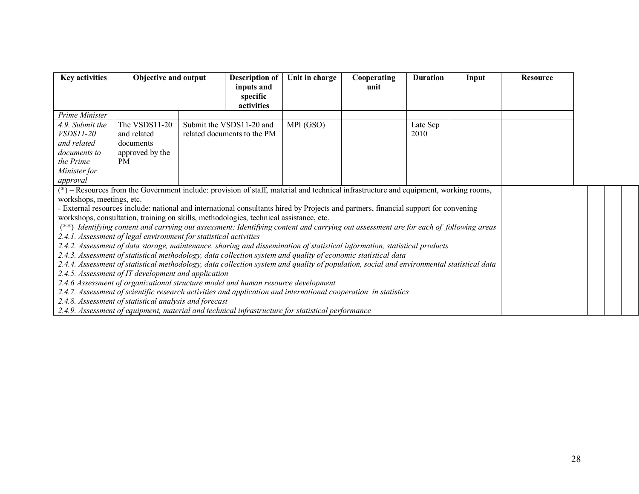| <b>Key activities</b>                                                                                                                |                                                                                                                                           | Objective and output |                             | Unit in charge | Cooperating<br>unit | <b>Duration</b> | Input | <b>Resource</b> |  |  |
|--------------------------------------------------------------------------------------------------------------------------------------|-------------------------------------------------------------------------------------------------------------------------------------------|----------------------|-----------------------------|----------------|---------------------|-----------------|-------|-----------------|--|--|
|                                                                                                                                      |                                                                                                                                           |                      | activities                  |                |                     |                 |       |                 |  |  |
| Prime Minister                                                                                                                       |                                                                                                                                           |                      |                             |                |                     |                 |       |                 |  |  |
| 4.9. Submit the                                                                                                                      | The VSDS11-20                                                                                                                             |                      | Submit the VSDS11-20 and    | MPI (GSO)      |                     | Late Sep        |       |                 |  |  |
| <i>VSDS11-20</i>                                                                                                                     | and related                                                                                                                               |                      | related documents to the PM |                |                     | 2010            |       |                 |  |  |
| and related                                                                                                                          | documents                                                                                                                                 |                      |                             |                |                     |                 |       |                 |  |  |
| documents to<br>the Prime                                                                                                            | approved by the<br><b>PM</b>                                                                                                              |                      |                             |                |                     |                 |       |                 |  |  |
| Minister for                                                                                                                         |                                                                                                                                           |                      |                             |                |                     |                 |       |                 |  |  |
| approval                                                                                                                             |                                                                                                                                           |                      |                             |                |                     |                 |       |                 |  |  |
| (*) – Resources from the Government include: provision of staff, material and technical infrastructure and equipment, working rooms, |                                                                                                                                           |                      |                             |                |                     |                 |       |                 |  |  |
| workshops, meetings, etc.                                                                                                            |                                                                                                                                           |                      |                             |                |                     |                 |       |                 |  |  |
|                                                                                                                                      | - External resources include: national and international consultants hired by Projects and partners, financial support for convening      |                      |                             |                |                     |                 |       |                 |  |  |
|                                                                                                                                      | workshops, consultation, training on skills, methodologies, technical assistance, etc.                                                    |                      |                             |                |                     |                 |       |                 |  |  |
|                                                                                                                                      | (**) Identifying content and carrying out assessment: Identifying content and carrying out assessment are for each of following areas     |                      |                             |                |                     |                 |       |                 |  |  |
|                                                                                                                                      | 2.4.1. Assessment of legal environment for statistical activities                                                                         |                      |                             |                |                     |                 |       |                 |  |  |
|                                                                                                                                      | 2.4.2. Assessment of data storage, maintenance, sharing and dissemination of statistical information, statistical products                |                      |                             |                |                     |                 |       |                 |  |  |
|                                                                                                                                      | 2.4.3. Assessment of statistical methodology, data collection system and quality of economic statistical data                             |                      |                             |                |                     |                 |       |                 |  |  |
|                                                                                                                                      | 2.4.4. Assessment of statistical methodology, data collection system and quality of population, social and environmental statistical data |                      |                             |                |                     |                 |       |                 |  |  |
|                                                                                                                                      | 2.4.5. Assessment of IT development and application                                                                                       |                      |                             |                |                     |                 |       |                 |  |  |
|                                                                                                                                      | 2.4.6 Assessment of organizational structure model and human resource development                                                         |                      |                             |                |                     |                 |       |                 |  |  |
|                                                                                                                                      | 2.4.7. Assessment of scientific research activities and application and international cooperation in statistics                           |                      |                             |                |                     |                 |       |                 |  |  |
|                                                                                                                                      | 2.4.8. Assessment of statistical analysis and forecast                                                                                    |                      |                             |                |                     |                 |       |                 |  |  |
|                                                                                                                                      | 2.4.9. Assessment of equipment, material and technical infrastructure for statistical performance                                         |                      |                             |                |                     |                 |       |                 |  |  |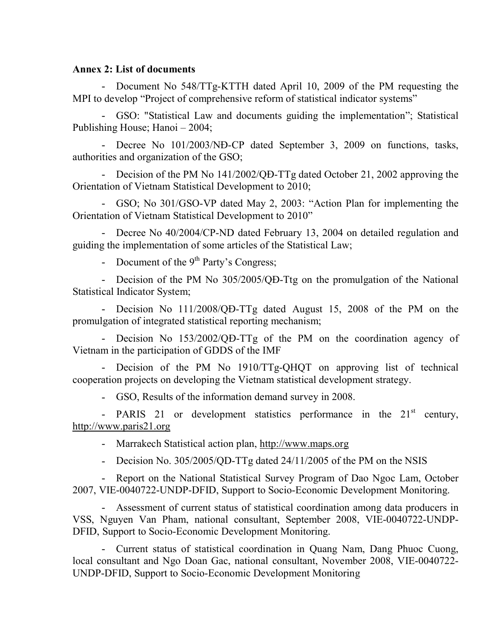#### **Annex 2: List of documents**

- Document No 548/TTg-KTTH dated April 10, 2009 of the PM requesting the MPI to develop "Project of comprehensive reform of statistical indicator systems"

- GSO: "Statistical Law and documents guiding the implementation"; Statistical Publishing House; Hanoi – 2004;

- Decree No 101/2003/NĐ-CP dated September 3, 2009 on functions, tasks, authorities and organization of the GSO;

- Decision of the PM No 141/2002/QD-TTg dated October 21, 2002 approving the Orientation of Vietnam Statistical Development to 2010;

- GSO; No 301/GSO-VP dated May 2, 2003: "Action Plan for implementing the Orientation of Vietnam Statistical Development to 2010"

- Decree No 40/2004/CP-ND dated February 13, 2004 on detailed regulation and guiding the implementation of some articles of the Statistical Law;

- Document of the  $9<sup>th</sup>$  Party's Congress;

- Decision of the PM No 305/2005/QD-Ttg on the promulgation of the National Statistical Indicator System;

- Decision No 111/2008/QĐ-TTg dated August 15, 2008 of the PM on the promulgation of integrated statistical reporting mechanism;

- Decision No 153/2002/QD-TTg of the PM on the coordination agency of Vietnam in the participation of GDDS of the IMF

- Decision of the PM No 1910/TTg-QHQT on approving list of technical cooperation projects on developing the Vietnam statistical development strategy.

- GSO, Results of the information demand survey in 2008.

- PARIS 21 or development statistics performance in the  $21<sup>st</sup>$  century, http://www.paris21.org

- Marrakech Statistical action plan, http://www.maps.org

- Decision No. 305/2005/QD-TTg dated 24/11/2005 of the PM on the NSIS

- Report on the National Statistical Survey Program of Dao Ngoc Lam, October 2007, VIE-0040722-UNDP-DFID, Support to Socio-Economic Development Monitoring.

- Assessment of current status of statistical coordination among data producers in VSS, Nguyen Van Pham, national consultant, September 2008, VIE-0040722-UNDP-DFID, Support to Socio-Economic Development Monitoring.

- Current status of statistical coordination in Quang Nam, Dang Phuoc Cuong, local consultant and Ngo Doan Gac, national consultant, November 2008, VIE-0040722- UNDP-DFID, Support to Socio-Economic Development Monitoring